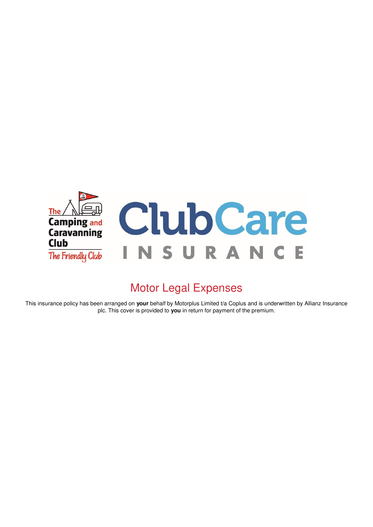

# Motor Legal Expenses

This insurance policy has been arranged on your behalf by Motorplus Limited t/a Coplus and is underwritten by Allianz Insurance plc. This cover is provided to **you** in return for payment of the premium.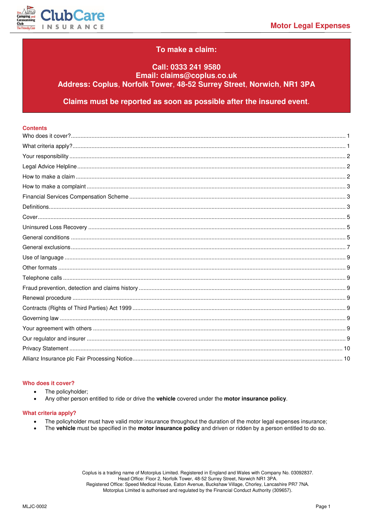

# To make a claim:

# Call: 0333 241 9580 Email: claims@coplus.co.uk Address: Coplus, Norfolk Tower, 48-52 Surrey Street, Norwich, NR1 3PA

Claims must be reported as soon as possible after the insured event.

| <b>Contents</b> |  |
|-----------------|--|
|                 |  |
|                 |  |
|                 |  |
|                 |  |
|                 |  |
|                 |  |
|                 |  |
|                 |  |
|                 |  |
|                 |  |
|                 |  |
|                 |  |
|                 |  |
|                 |  |
|                 |  |
|                 |  |
|                 |  |
|                 |  |
|                 |  |
|                 |  |
|                 |  |
|                 |  |
|                 |  |
|                 |  |

# <span id="page-1-0"></span>Who does it cover?

- The policyholder;  $\bullet$
- Any other person entitled to ride or drive the vehicle covered under the motor insurance policy.

## <span id="page-1-1"></span>What criteria apply?

- The policyholder must have valid motor insurance throughout the duration of the motor legal expenses insurance;
- The vehicle must be specified in the motor insurance policy and driven or ridden by a person entitled to do so.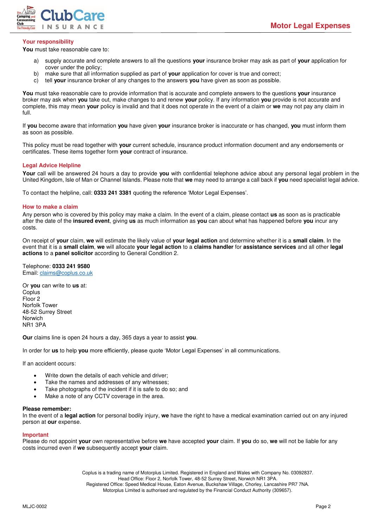

# <span id="page-2-0"></span>**Your responsibility**

**You** must take reasonable care to:

- a) supply accurate and complete answers to all the questions **your** insurance broker may ask as part of **your** application for cover under the policy;
- b) make sure that all information supplied as part of **your** application for cover is true and correct;
- c) tell **your** insurance broker of any changes to the answers **you** have given as soon as possible.

**You** must take reasonable care to provide information that is accurate and complete answers to the questions **your** insurance broker may ask when **you** take out, make changes to and renew **your** policy. If any information **you** provide is not accurate and complete, this may mean **your** policy is invalid and that it does not operate in the event of a claim or **we** may not pay any claim in full.

If **you** become aware that information **you** have given **your** insurance broker is inaccurate or has changed, **you** must inform them as soon as possible.

This policy must be read together with **your** current schedule, insurance product information document and any endorsements or certificates. These items together form **your** contract of insurance.

## <span id="page-2-1"></span>**Legal Advice Helpline**

**Your** call will be answered 24 hours a day to provide **you** with confidential telephone advice about any personal legal problem in the United Kingdom, Isle of Man or Channel Islands. Please note that **we** may need to arrange a call back if **you** need specialist legal advice.

To contact the helpline, call: **0333 241 3381** quoting the reference 'Motor Legal Expenses'.

#### <span id="page-2-2"></span>**How to make a claim**

Any person who is covered by this policy may make a claim. In the event of a claim, please contact **us** as soon as is practicable after the date of the **insured event**, giving **us** as much information as **you** can about what has happened before **you** incur any costs.

On receipt of **your** claim, **we** will estimate the likely value of **your legal action** and determine whether it is a **small claim**. In the event that it is a **small claim**, **we** will allocate **your legal action** to a **claims handler** for **assistance services** and all other **legal actions** to a **panel solicitor** according to General Condition 2.

Telephone: **0333 241 9580** Email[: claims@coplus.co.uk](mailto:claims@coplus.co.uk)

Or **you** can write to **us** at: **Coplus** Floor 2 Norfolk Tower 48-52 Surrey Street Norwich NR1 3PA

**Our** claims line is open 24 hours a day, 365 days a year to assist **you**.

In order for **us** to help **you** more efficiently, please quote 'Motor Legal Expenses' in all communications.

If an accident occurs:

- Write down the details of each vehicle and driver;
- Take the names and addresses of any witnesses;
- Take photographs of the incident if it is safe to do so; and
- Make a note of any CCTV coverage in the area.

#### **Please remember:**

In the event of a **legal action** for personal bodily injury, **we** have the right to have a medical examination carried out on any injured person at **our** expense.

#### **Important**

Please do not appoint **your** own representative before **we** have accepted **your** claim. If **you** do so, **we** will not be liable for any costs incurred even if **we** subsequently accept **your** claim.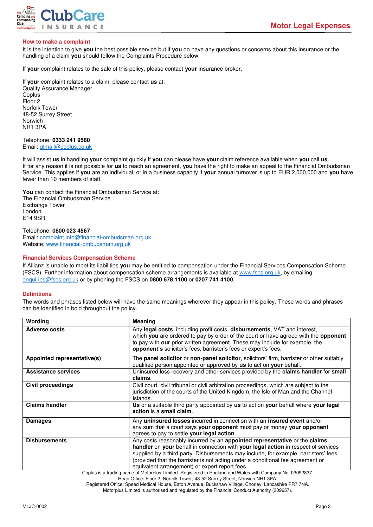

# <span id="page-3-0"></span>**How to make a complaint**

It is the intention to give **you** the best possible service but if **you** do have any questions or concerns about this insurance or the handling of a claim **you** should follow the Complaints Procedure below:

If **your** complaint relates to the sale of this policy, please contact **your** insurance broker.

If **your** complaint relates to a claim, please contact **us** at: Quality Assurance Manager Coplus Floor 2 Norfolk Tower 48-52 Surrey Street Norwich NR1 3PA

Telephone: **0333 241 9580** Email[: qtmail@coplus.co.uk](mailto:qtmail@coplus.co.uk)

It will assist **us** in handling **your** complaint quickly if **you** can please have **your** claim reference available when **you** call **us**. If for any reason it is not possible for **us** to reach an agreement, **you** have the right to make an appeal to the Financial Ombudsman Service. This applies if **you** are an individual, or in a business capacity if **your** annual turnover is up to EUR 2,000,000 and **you** have fewer than 10 members of staff.

**You** can contact the Financial Ombudsman Service at: The Financial Ombudsman Service Exchange Tower London E14 9SR

# Telephone: **0800 023 4567**

Email[: complaint.info@financial-ombudsman.org.uk](mailto:complaint.info@financial-ombudsman.org.uk)  Website[: www.financial-ombudsman.org.uk](http://www.financial-ombudsman.org.uk/) 

#### <span id="page-3-1"></span>**Financial Services Compensation Scheme**

If Allianz is unable to meet its liabilities **you** may be entitled to compensation under the Financial Services Compensation Scheme (FSCS). Further information about compensation scheme arrangements is available at [www.fscs.org.uk,](http://www.fscs.org.uk/) by emailing [enquiries@fscs.org.uk](mailto:enquiries@fscs.org.uk) or by phoning the FSCS on **0800 678 1100** or **0207 741 4100**.

## <span id="page-3-2"></span>**Definitions**

The words and phrases listed below will have the same meanings wherever they appear in this policy. These words and phrases can be identified in bold throughout the policy.

| Wording                     | <b>Meaning</b>                                                                                                                                                                                                                                                                                                                                                                               |
|-----------------------------|----------------------------------------------------------------------------------------------------------------------------------------------------------------------------------------------------------------------------------------------------------------------------------------------------------------------------------------------------------------------------------------------|
| <b>Adverse costs</b>        | Any legal costs, including profit costs, disbursements, VAT and interest,<br>which you are ordered to pay by order of the court or have agreed with the opponent<br>to pay with our prior written agreement. These may include for example, the<br>opponent's solicitor's fees, barrister's fees or expert's fees.                                                                           |
| Appointed representative(s) | The panel solicitor or non-panel solicitor, solicitors' firm, barrister or other suitably<br>qualified person appointed or approved by us to act on your behalf.                                                                                                                                                                                                                             |
| <b>Assistance services</b>  | Uninsured loss recovery and other services provided by the claims handler for small<br>claims.                                                                                                                                                                                                                                                                                               |
| <b>Civil proceedings</b>    | Civil court, civil tribunal or civil arbitration proceedings, which are subject to the<br>jurisdiction of the courts of the United Kingdom, the Isle of Man and the Channel<br>Islands.                                                                                                                                                                                                      |
| <b>Claims handler</b>       | Us or a suitable third party appointed by us to act on your behalf where your legal<br>action is a small claim.                                                                                                                                                                                                                                                                              |
| <b>Damages</b>              | Any uninsured losses incurred in connection with an insured event and/or<br>any sum that a court says your opponent must pay or money your opponent<br>agrees to pay to settle your legal action.                                                                                                                                                                                            |
| <b>Disbursements</b>        | Any costs reasonably incurred by an appointed representative or the claims<br>handler on your behalf in connection with your legal action in respect of services<br>supplied by a third party. Disbursements may include, for example, barristers' fees<br>(provided that the barrister is not acting under a conditional fee agreement or<br>equivalent arrangement) or expert report fees. |
|                             | Coplus is a trading name of Motorplus Limited. Registered in England and Wales with Company No. 03092837.                                                                                                                                                                                                                                                                                    |

Head Office: Floor 2, Norfolk Tower, 48-52 Surrey Street, Norwich NR1 3PA.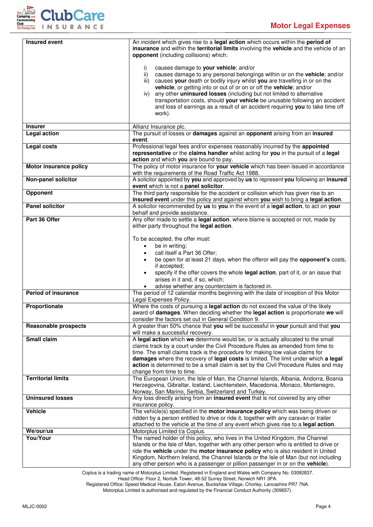

| <b>Insured event</b>                  | An incident which gives rise to a legal action which occurs within the period of<br>insurance and within the territorial limits involving the vehicle and the vehicle of an     |
|---------------------------------------|---------------------------------------------------------------------------------------------------------------------------------------------------------------------------------|
|                                       | opponent (including collisions) which:                                                                                                                                          |
|                                       | causes damage to your vehicle; and/or<br>i)                                                                                                                                     |
|                                       | $\mathsf{ii}$<br>causes damage to any personal belongings within or on the vehicle; and/or<br>causes your death or bodily injury whilst you are travelling in or on the<br>iii) |
|                                       | vehicle, or getting into or out of or on or off the vehicle; and/or                                                                                                             |
|                                       | any other uninsured losses (including but not limited to alternative<br>iv)<br>transportation costs, should your vehicle be unusable following an accident                      |
|                                       | and loss of earnings as a result of an accident requiring you to take time off<br>work).                                                                                        |
|                                       |                                                                                                                                                                                 |
| <b>Insurer</b><br><b>Legal action</b> | Allianz Insurance plc.<br>The pursuit of losses or damages against an opponent arising from an insured                                                                          |
|                                       | event.                                                                                                                                                                          |
| <b>Legal costs</b>                    | Professional legal fees and/or expenses reasonably incurred by the appointed<br>representative or the claims handler whilst acting for you in the pursuit of a legal            |
|                                       | action and which you are bound to pay.                                                                                                                                          |
| Motor insurance policy                | The policy of motor insurance for your vehicle which has been issued in accordance<br>with the requirements of the Road Traffic Act 1988.                                       |
| Non-panel solicitor                   | A solicitor appointed by you and approved by us to represent you following an insured                                                                                           |
|                                       | event which is not a panel solicitor.                                                                                                                                           |
| Opponent                              | The third party responsible for the accident or collision which has given rise to an<br>insured event under this policy and against whom you wish to bring a legal action.      |
| <b>Panel solicitor</b>                | A solicitor recommended by us to you in the event of a legal action, to act on your<br>behalf and provide assistance.                                                           |
| Part 36 Offer                         | Any offer made to settle a legal action, where blame is accepted or not, made by                                                                                                |
|                                       | either party throughout the legal action.                                                                                                                                       |
|                                       | To be accepted, the offer must:                                                                                                                                                 |
|                                       | be in writing;<br>$\bullet$                                                                                                                                                     |
|                                       | call itself a Part 36 Offer;<br>$\bullet$<br>be open for at least 21 days, when the offeror will pay the opponent's costs,                                                      |
|                                       | if accepted;                                                                                                                                                                    |
|                                       | specify if the offer covers the whole legal action, part of it, or an issue that<br>arises in it and, if so, which;                                                             |
|                                       | advise whether any counterclaim is factored in.                                                                                                                                 |
| <b>Period of insurance</b>            | The period of 12 calendar months beginning with the date of inception of this Motor<br>Legal Expenses Policy.                                                                   |
| Proportionate                         | Where the costs of pursuing a legal action do not exceed the value of the likely                                                                                                |
|                                       | award of damages. When deciding whether the legal action is proportionate we will<br>consider the factors set out in General Condition 9.                                       |
| <b>Reasonable prospects</b>           | A greater than 50% chance that you will be successful in your pursuit and that you                                                                                              |
| <b>Small claim</b>                    | will make a successful recovery.<br>A legal action which we determine would be, or is actually allocated to the small                                                           |
|                                       | claims track by a court under the Civil Procedure Rules as amended from time to                                                                                                 |
|                                       | time. The small claims track is the procedure for making low value claims for<br>damages where the recovery of legal costs is limited. The limit under which a legal            |
|                                       | action is determined to be a small claim is set by the Civil Procedure Rules and may                                                                                            |
| <b>Territorial limits</b>             | change from time to time.<br>The European Union, the Isle of Man, the Channel Islands, Albania, Andorra, Bosnia                                                                 |
|                                       | Herzegovina, Gibraltar, Iceland, Liechtenstein, Macedonia, Monaco, Montenegro,                                                                                                  |
| <b>Uninsured losses</b>               | Norway, San Marino, Serbia, Switzerland and Turkey.<br>Any loss directly arising from an insured event that is not covered by any other                                         |
|                                       | insurance policy.                                                                                                                                                               |
| Vehicle                               | The vehicle(s) specified in the motor insurance policy which was being driven or                                                                                                |
|                                       | ridden by a person entitled to drive or ride it, together with any caravan or trailer<br>attached to the vehicle at the time of any event which gives rise to a legal action.   |
| We/our/us                             | Motorplus Limited t/a Coplus.                                                                                                                                                   |
| You/Your                              | The named holder of this policy, who lives in the United Kingdom, the Channel<br>Islands or the Isle of Man, together with any other person who is entitled to drive or         |
|                                       | ride the vehicle under the motor insurance policy who is also resident in United                                                                                                |
|                                       | Kingdom, Northern Ireland, the Channel Islands or the Isle of Man (but not including<br>any other person who is a passenger or pillion passenger in or on the vehicle).         |

Coplus is a trading name of Motorplus Limited. Registered in England and Wales with Company No. 03092837.

Head Office: Floor 2, Norfolk Tower, 48-52 Surrey Street, Norwich NR1 3PA.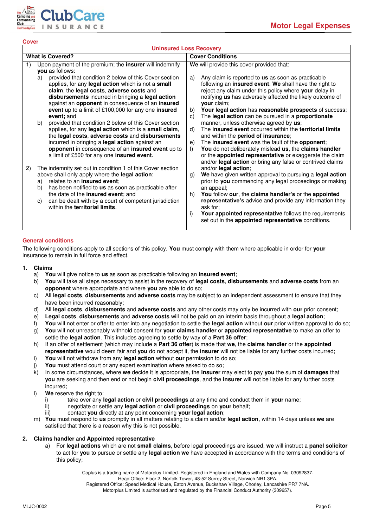

<span id="page-5-0"></span>**Cover** 

<span id="page-5-1"></span>

| <b>Uninsured Loss Recovery</b>                                                                                                                                                                                                                                                                                                                                                                                                                                                                                                                                                                                                                                                                                                                                                                                                                                                                                                                                                                                                                                                                                                             |                                                                                                                                                                                                                                                                                                                                                                                                                                                                                                                                                                                                                                                                                                                                                                                                                                                                                                                                                                                                                                                                                                                                                                                                                                  |  |  |
|--------------------------------------------------------------------------------------------------------------------------------------------------------------------------------------------------------------------------------------------------------------------------------------------------------------------------------------------------------------------------------------------------------------------------------------------------------------------------------------------------------------------------------------------------------------------------------------------------------------------------------------------------------------------------------------------------------------------------------------------------------------------------------------------------------------------------------------------------------------------------------------------------------------------------------------------------------------------------------------------------------------------------------------------------------------------------------------------------------------------------------------------|----------------------------------------------------------------------------------------------------------------------------------------------------------------------------------------------------------------------------------------------------------------------------------------------------------------------------------------------------------------------------------------------------------------------------------------------------------------------------------------------------------------------------------------------------------------------------------------------------------------------------------------------------------------------------------------------------------------------------------------------------------------------------------------------------------------------------------------------------------------------------------------------------------------------------------------------------------------------------------------------------------------------------------------------------------------------------------------------------------------------------------------------------------------------------------------------------------------------------------|--|--|
| <b>What is Covered?</b>                                                                                                                                                                                                                                                                                                                                                                                                                                                                                                                                                                                                                                                                                                                                                                                                                                                                                                                                                                                                                                                                                                                    | <b>Cover Conditions</b>                                                                                                                                                                                                                                                                                                                                                                                                                                                                                                                                                                                                                                                                                                                                                                                                                                                                                                                                                                                                                                                                                                                                                                                                          |  |  |
| Upon payment of the premium; the insurer will indemnify<br>1)<br>you as follows:<br>provided that condition 2 below of this Cover section<br>a)<br>applies, for any legal action which is not a small<br>claim, the legal costs, adverse costs and<br>disbursements incurred in bringing a legal action<br>against an opponent in consequence of an insured<br>event up to a limit of £100,000 for any one insured<br>event: and<br>provided that condition 2 below of this Cover section<br>b)<br>applies, for any legal action which is a small claim,<br>the legal costs, adverse costs and disbursements<br>incurred in bringing a legal action against an<br>opponent in consequence of an insured event up to<br>a limit of £500 for any one insured event.<br>2)<br>The indemnity set out in condition 1 of this Cover section<br>above shall only apply where the legal action:<br>relates to an insured event;<br>a)<br>has been notified to <b>us</b> as soon as practicable after<br>b)<br>the date of the insured event; and<br>can be dealt with by a court of competent jurisdiction<br>C)<br>within the territorial limits. | We will provide this cover provided that:<br>Any claim is reported to us as soon as practicable<br>a)<br>following an insured event. We shall have the right to<br>reject any claim under this policy where your delay in<br>notifying us has adversely affected the likely outcome of<br>your claim;<br>Your legal action has reasonable prospects of success;<br>b)<br>The legal action can be pursued in a proportionate<br>C)<br>manner, unless otherwise agreed by us;<br>The insured event occurred within the territorial limits<br>d)<br>and within the period of insurance;<br>The insured event was the fault of the opponent;<br>e)<br>You do not deliberately mislead us, the claims handler<br>f)<br>or the appointed representative or exaggerate the claim<br>and/or legal action or bring any false or contrived claims<br>and/or legal action;<br>We have given written approval to pursuing a legal action<br>$\mathfrak{g}$ )<br>prior to you commencing any legal proceedings or making<br>an appeal;<br>You follow our, the claims handler's or the appointed<br>h)<br>representative's advice and provide any information they<br>ask for:<br>Your appointed representative follows the requirements<br>i) |  |  |
|                                                                                                                                                                                                                                                                                                                                                                                                                                                                                                                                                                                                                                                                                                                                                                                                                                                                                                                                                                                                                                                                                                                                            | set out in the appointed representative conditions.                                                                                                                                                                                                                                                                                                                                                                                                                                                                                                                                                                                                                                                                                                                                                                                                                                                                                                                                                                                                                                                                                                                                                                              |  |  |
|                                                                                                                                                                                                                                                                                                                                                                                                                                                                                                                                                                                                                                                                                                                                                                                                                                                                                                                                                                                                                                                                                                                                            |                                                                                                                                                                                                                                                                                                                                                                                                                                                                                                                                                                                                                                                                                                                                                                                                                                                                                                                                                                                                                                                                                                                                                                                                                                  |  |  |

# <span id="page-5-2"></span>**General conditions**

The following conditions apply to all sections of this policy. **You** must comply with them where applicable in order for **your** insurance to remain in full force and effect.

- **1. Claims**
	- a) **You** will give notice to **us** as soon as practicable following an **insured event**;
	- b) **You** will take all steps necessary to assist in the recovery of **legal costs**, **disbursements** and **adverse costs** from an **opponent** where appropriate and where **you** are able to do so;
	- c) All **legal costs**, **disbursements** and **adverse costs** may be subject to an independent assessment to ensure that they have been incurred reasonably;
	- d) All **legal costs**, **disbursements** and **adverse costs** and any other costs may only be incurred with **our** prior consent;
	- e) **Legal costs**, **disbursements** and **adverse costs** will not be paid on an interim basis throughout a **legal action**;
	- f) **You** will not enter or offer to enter into any negotiation to settle the **legal action** without **our** prior written approval to do so;
	- g) **You** will not unreasonably withhold consent for **your claims handler** or **appointed representative** to make an offer to settle the **legal action**. This includes agreeing to settle by way of a **Part 36 offer**;
	- h) If an offer of settlement (which may include a **Part 36 offer**) is made that **we**, the **claims handler** or the **appointed representative** would deem fair and **you** do not accept it, the **insurer** will not be liable for any further costs incurred;
	- i) **You** will not withdraw from any **legal action** without **our** permission to do so;
	- j) **You** must attend court or any expert examination where asked to do so;
	- k) In some circumstances, where **we** decide it is appropriate, the **insurer** may elect to pay **you** the sum of **damages** that **you** are seeking and then end or not begin **civil proceedings**, and the **insurer** will not be liable for any further costs incurred;
	- l) **We** reserve the right to:
		- i) take over any **legal action** or **civil proceedings** at any time and conduct them in **your** name;
		- negotiate or settle any legal action or civil proceedings on your behalf;
		- iii) contact **you** directly at any point concerning **your legal action**;
	- m) **You** must respond to **us** promptly in all matters relating to a claim and/or **legal action**, within 14 days unless **we** are satisfied that there is a reason why this is not possible.

# **2. Claims handler** and **Appointed representative**

a) For **legal actions** which are not **small claims**, before legal proceedings are issued, **we** will instruct a **panel solicitor** to act for **you** to pursue or settle any **legal action we** have accepted in accordance with the terms and conditions of this policy;

Coplus is a trading name of Motorplus Limited. Registered in England and Wales with Company No. 03092837.

Head Office: Floor 2, Norfolk Tower, 48-52 Surrey Street, Norwich NR1 3PA.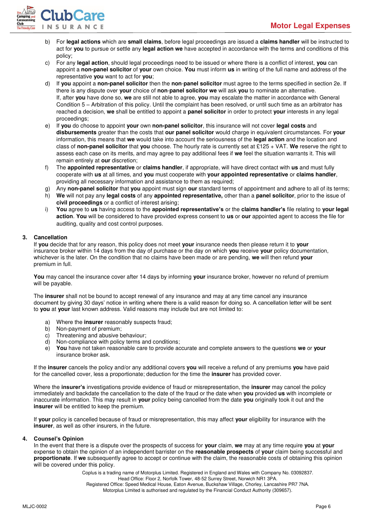

- b) For **legal actions** which are **small claims**, before legal proceedings are issued a **claims handler** will be instructed to act for **you** to pursue or settle any **legal action we** have accepted in accordance with the terms and conditions of this policy;
- c) For any **legal action**, should legal proceedings need to be issued or where there is a conflict of interest, **you** can appoint a **non-panel solicitor** of **your** own choice. **You** must inform **us** in writing of the full name and address of the representative **you** want to act for **you**;
- d) If **you** appoint a **non-panel solicitor** then the **non**-**panel solicitor** must agree to the terms specified in section 2e. If there is any dispute over **your** choice of **non**-**panel solicitor we** will ask **you** to nominate an alternative. If, after **you** have done so, **we** are still not able to agree, **you** may escalate the matter in accordance with General Condition 5 – Arbitration of this policy. Until the complaint has been resolved, or until such time as an arbitrator has reached a decision, **we** shall be entitled to appoint a **panel solicitor** in order to protect **your** interests in any legal proceedings;
- e) If **you** do choose to appoint **your** own **non-panel solicitor**, this insurance will not cover **legal costs** and **disbursements** greater than the costs that **our panel solicitor** would charge in equivalent circumstances. For **your** information, this means that **we** would take into account the seriousness of the **legal action** and the location and class of **non-panel solicitor** that **you** choose. The hourly rate is currently set at £125 + VAT. **We** reserve the right to assess each case on its merits, and may agree to pay additional fees if **we** feel the situation warrants it. This will remain entirely at **our** discretion;
- f) The **appointed representative** or **claims handler**, if appropriate, will have direct contact with **us** and must fully cooperate with **us** at all times, and **you** must cooperate with **your appointed representative** or **claims handler**, providing all necessary information and assistance to them as required;
- g) Any **non-panel solicitor** that **you** appoint must sign **our** standard terms of appointment and adhere to all of its terms;
- h) **We** will not pay any **legal costs** of any **appointed representative,** other than a **panel solicitor**, prior to the issue of **civil proceedings** or a conflict of interest arising;
- i) **You** agree to **us** having access to the **appointed representative's** or the **claims handler's** file relating to **your legal action**. **You** will be considered to have provided express consent to **us** or **our** appointed agent to access the file for auditing, quality and cost control purposes.

# **3. Cancellation**

If **you** decide that for any reason, this policy does not meet **your** insurance needs then please return it to **your**  insurance broker within 14 days from the day of purchase or the day on which **you** receive **your** policy documentation, whichever is the later. On the condition that no claims have been made or are pending, **we** will then refund **your** premium in full.

**You** may cancel the insurance cover after 14 days by informing **your** insurance broker, however no refund of premium will be payable.

The **insurer** shall not be bound to accept renewal of any insurance and may at any time cancel any insurance document by giving 30 days' notice in writing where there is a valid reason for doing so. A cancellation letter will be sent to **you** at **your** last known address. Valid reasons may include but are not limited to:

- a) Where the **insurer** reasonably suspects fraud;
- b) Non-payment of premium;
- c) Threatening and abusive behaviour;
- d) Non-compliance with policy terms and conditions;
- e) **You** have not taken reasonable care to provide accurate and complete answers to the questions **we** or **your**  insurance broker ask.

If the **insurer** cancels the policy and/or any additional covers **you** will receive a refund of any premiums **you** have paid for the cancelled cover, less a proportionate; deduction for the time the **insurer** has provided cover.

Where the **insurer's** investigations provide evidence of fraud or misrepresentation, the **insurer** may cancel the policy immediately and backdate the cancellation to the date of the fraud or the date when **you** provided **us** with incomplete or inaccurate information. This may result in **your** policy being cancelled from the date **you** originally took it out and the **insurer** will be entitled to keep the premium.

If **your** policy is cancelled because of fraud or misrepresentation, this may affect **your** eligibility for insurance with the **insurer**, as well as other insurers, in the future.

## **4. Counsel's Opinion**

In the event that there is a dispute over the prospects of success for **your** claim, **we** may at any time require **you** at **your** expense to obtain the opinion of an independent barrister on the **reasonable prospects** of **your** claim being successful and **proportionate**. If **we** subsequently agree to accept or continue with the claim, the reasonable costs of obtaining this opinion will be covered under this policy.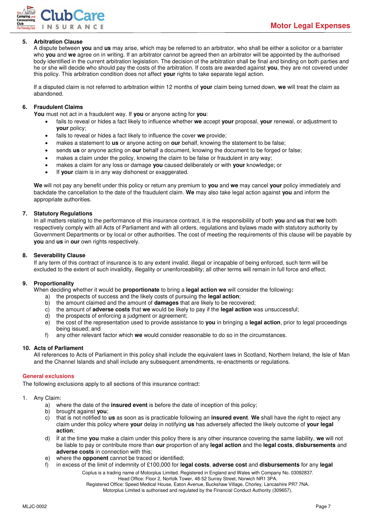

# **5. Arbitration Clause**

A dispute between **you** and **us** may arise, which may be referred to an arbitrator, who shall be either a solicitor or a barrister who **you** and **we** agree on in writing. If an arbitrator cannot be agreed then an arbitrator will be appointed by the authorised body identified in the current arbitration legislation. The decision of the arbitration shall be final and binding on both parties and he or she will decide who should pay the costs of the arbitration. If costs are awarded against **you**, they are not covered under this policy. This arbitration condition does not affect **your** rights to take separate legal action.

If a disputed claim is not referred to arbitration within 12 months of **your** claim being turned down, **we** will treat the claim as abandoned.

## **6. Fraudulent Claims**

**You** must not act in a fraudulent way. If **you** or anyone acting for **you**:

- fails to reveal or hides a fact likely to influence whether **we** accept **your** proposal, **your** renewal, or adjustment to **your** policy;
- fails to reveal or hides a fact likely to influence the cover **we** provide;
- makes a statement to **us** or anyone acting on **our** behalf, knowing the statement to be false;
- sends **us** or anyone acting on **our** behalf a document, knowing the document to be forged or false;
- makes a claim under the policy, knowing the claim to be false or fraudulent in any way;
- makes a claim for any loss or damage **you** caused deliberately or with **your** knowledge; or
- If **your** claim is in any way dishonest or exaggerated.

**We** will not pay any benefit under this policy or return any premium to **you** and **we** may cancel **your** policy immediately and backdate the cancellation to the date of the fraudulent claim. **We** may also take legal action against **you** and inform the appropriate authorities.

## **7. Statutory Regulations**

In all matters relating to the performance of this insurance contract, it is the responsibility of both **you** and **us** that **we** both respectively comply with all Acts of Parliament and with all orders, regulations and bylaws made with statutory authority by Government Departments or by local or other authorities. The cost of meeting the requirements of this clause will be payable by **you** and **us** in **our** own rights respectively.

## **8. Severability Clause**

If any term of this contract of insurance is to any extent invalid, illegal or incapable of being enforced, such term will be excluded to the extent of such invalidity, illegality or unenforceability; all other terms will remain in full force and effect.

# **9. Proportionality**

When deciding whether it would be **proportionate** to bring a **legal action we** will consider the following**:** 

- a) the prospects of success and the likely costs of pursuing the **legal action**;
- b) the amount claimed and the amount of **damages** that are likely to be recovered;
- c) the amount of **adverse costs** that **we** would be likely to pay if the **legal action** was unsuccessful;
- d) the prospects of enforcing a judgment or agreement;
- e) the cost of the representation used to provide assistance to **you** in bringing a **legal action**, prior to legal proceedings being issued; and
- f) any other relevant factor which **we** would consider reasonable to do so in the circumstances.

## **10. Acts of Parliament**

All references to Acts of Parliament in this policy shall include the equivalent laws in Scotland, Northern Ireland, the Isle of Man and the Channel Islands and shall include any subsequent amendments, re-enactments or regulations.

## <span id="page-7-0"></span>**General exclusions**

The following exclusions apply to all sections of this insurance contract:

## 1. Any Claim:

- a) where the date of the **insured event** is before the date of inception of this policy;
- b) brought against **you**;
- c) that is not notified to **us** as soon as is practicable following an **insured event**. **We** shall have the right to reject any claim under this policy where **your** delay in notifying **us** has adversely affected the likely outcome of **your legal action**;
- d) if at the time **you** make a claim under this policy there is any other insurance covering the same liability, **we** will not be liable to pay or contribute more than **our** proportion of any **legal action** and the **legal costs**, **disbursements** and **adverse costs** in connection with this;
- e) where the **opponent** cannot be traced or identified;
- f) in excess of the limit of indemnity of £100,000 for **legal costs**, **adverse cost** and **disbursements** for any **legal** 
	- Coplus is a trading name of Motorplus Limited. Registered in England and Wales with Company No. 03092837.

Head Office: Floor 2, Norfolk Tower, 48-52 Surrey Street, Norwich NR1 3PA.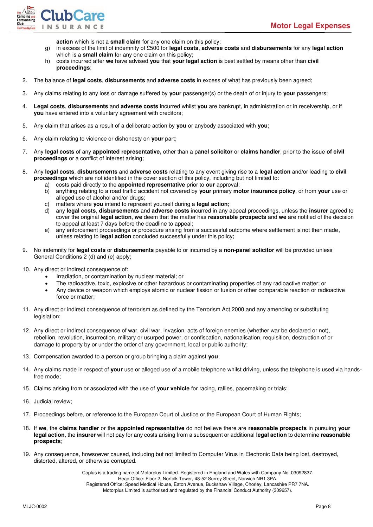

**action** which is not a **small claim** for any one claim on this policy;

- g) in excess of the limit of indemnity of £500 for **legal costs**, **adverse costs** and **disbursements** for any **legal action** which is a **small claim** for any one claim on this policy;
- h) costs incurred after **we** have advised **you** that **your legal action** is best settled by means other than **civil proceedings**;
- 2. The balance of **legal costs**, **disbursements** and **adverse costs** in excess of what has previously been agreed;
- 3. Any claims relating to any loss or damage suffered by **your** passenger(s) or the death of or injury to **your** passengers;
- 4. **Legal costs**, **disbursements** and **adverse costs** incurred whilst **you** are bankrupt, in administration or in receivership, or if **you** have entered into a voluntary agreement with creditors;
- 5. Any claim that arises as a result of a deliberate action by **you** or anybody associated with **you**;
- 6. Any claim relating to violence or dishonesty on **your** part;
- 7. Any **legal costs** of any **appointed representative,** other than a p**anel solicitor** or **claims handler**, prior to the issue **of civil proceedings** or a conflict of interest arising;
- 8. Any **legal costs**, **disbursements** and **adverse costs** relating to any event giving rise to a **legal action** and/or leading to **civil proceedings** which are not identified in the cover section of this policy, including but not limited to:
	- a) costs paid directly to the **appointed representative** prior to **our** approval;
	- b) anything relating to a road traffic accident not covered by **your** primary **motor insurance policy**, or from **your** use or alleged use of alcohol and/or drugs;
	- c) matters where **you** intend to represent yourself during a **legal action;**
	- d) any **legal costs**, **disbursements** and **adverse costs** incurred in any appeal proceedings, unless the **insurer** agreed to cover the original **legal action**, **we** deem that the matter has **reasonable prospects** and **we** are notified of the decision to appeal at least 7 days before the deadline to appeal;
	- e) any enforcement proceedings or procedure arising from a successful outcome where settlement is not then made, unless relating to **legal action** concluded successfully under this policy;
- 9. No indemnity for **legal costs** or **disbursements** payable to or incurred by a **non-panel solicitor** will be provided unless General Conditions 2 (d) and (e) apply;
- 10. Any direct or indirect consequence of:
	- Irradiation, or contamination by nuclear material; or
	- The radioactive, toxic, explosive or other hazardous or contaminating properties of any radioactive matter; or
	- Any device or weapon which employs atomic or nuclear fission or fusion or other comparable reaction or radioactive force or matter;
- 11. Any direct or indirect consequence of terrorism as defined by the Terrorism Act 2000 and any amending or substituting legislation;
- 12. Any direct or indirect consequence of war, civil war, invasion, acts of foreign enemies (whether war be declared or not), rebellion, revolution, insurrection, military or usurped power, or confiscation, nationalisation, requisition, destruction of or damage to property by or under the order of any government, local or public authority;
- 13. Compensation awarded to a person or group bringing a claim against **you**;
- 14. Any claims made in respect of **your** use or alleged use of a mobile telephone whilst driving, unless the telephone is used via handsfree mode;
- 15. Claims arising from or associated with the use of **your vehicle** for racing, rallies, pacemaking or trials;
- 16. Judicial review;
- 17. Proceedings before, or reference to the European Court of Justice or the European Court of Human Rights;
- 18. If **we**, the **claims handler** or the **appointed representative** do not believe there are **reasonable prospects** in pursuing **your legal action**, the **insurer** will not pay for any costs arising from a subsequent or additional **legal action** to determine **reasonable prospects**;
- 19. Any consequence, howsoever caused, including but not limited to Computer Virus in Electronic Data being lost, destroyed, distorted, altered, or otherwise corrupted.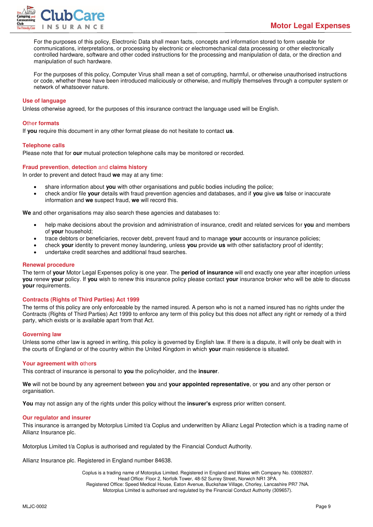

For the purposes of this policy, Electronic Data shall mean facts, concepts and information stored to form useable for communications, interpretations, or processing by electronic or electromechanical data processing or other electronically controlled hardware, software and other coded instructions for the processing and manipulation of data, or the direction and manipulation of such hardware.

For the purposes of this policy, Computer Virus shall mean a set of corrupting, harmful, or otherwise unauthorised instructions or code, whether these have been introduced maliciously or otherwise, and multiply themselves through a computer system or network of whatsoever nature.

#### <span id="page-9-0"></span>**Use of language**

<span id="page-9-1"></span>Unless otherwise agreed, for the purposes of this insurance contract the language used will be English.

#### **O**the**r formats**

If **you** require this document in any other format please do not hesitate to contact **us**.

#### <span id="page-9-2"></span>**Telephone calls**

<span id="page-9-3"></span>Please note that for **our** mutual protection telephone calls may be monitored or recorded.

#### **Fraud prevention**, **detection** and **claims history**

In order to prevent and detect fraud **we** may at any time:

- share information about **you** with other organisations and public bodies including the police;
- check and/or file **your** details with fraud prevention agencies and databases, and if **you** give **us** false or inaccurate information and **we** suspect fraud, **we** will record this.

**We** and other organisations may also search these agencies and databases to:

- help make decisions about the provision and administration of insurance, credit and related services for **you** and members of **your** household;
- trace debtors or beneficiaries, recover debt, prevent fraud and to manage **your** accounts or insurance policies;
- check **your** identity to prevent money laundering, unless **you** provide **us** with other satisfactory proof of identity;
- undertake credit searches and additional fraud searches.

#### <span id="page-9-4"></span>**Renewal procedure**

The term of **your** Motor Legal Expenses policy is one year. The **period of insurance** will end exactly one year after inception unless **you** renew **your** policy. If **you** wish to renew this insurance policy please contact **your** insurance broker who will be able to discuss **your** requirements.

#### <span id="page-9-5"></span>**Contracts (Rights of Third Parties) Act 1999**

The terms of this policy are only enforceable by the named insured. A person who is not a named insured has no rights under the Contracts (Rights of Third Parties) Act 1999 to enforce any term of this policy but this does not affect any right or remedy of a third party, which exists or is available apart from that Act.

#### <span id="page-9-6"></span>**Governing law**

Unless some other law is agreed in writing, this policy is governed by English law. If there is a dispute, it will only be dealt with in the courts of England or of the country within the United Kingdom in which **your** main residence is situated.

#### <span id="page-9-7"></span>**Your agreement with o**the**rs**

This contract of insurance is personal to **you** the policyholder, and the **insurer**.

**We** will not be bound by any agreement between **you** and **your appointed representative**, or **you** and any other person or organisation.

<span id="page-9-8"></span>**You** may not assign any of the rights under this policy without the **insurer's** express prior written consent.

#### **Our regulator and insurer**

This insurance is arranged by Motorplus Limited t/a Coplus and underwritten by Allianz Legal Protection which is a trading name of Allianz Insurance plc.

Motorplus Limited t/a Coplus is authorised and regulated by the Financial Conduct Authority.

Allianz Insurance plc. Registered in England number 84638.